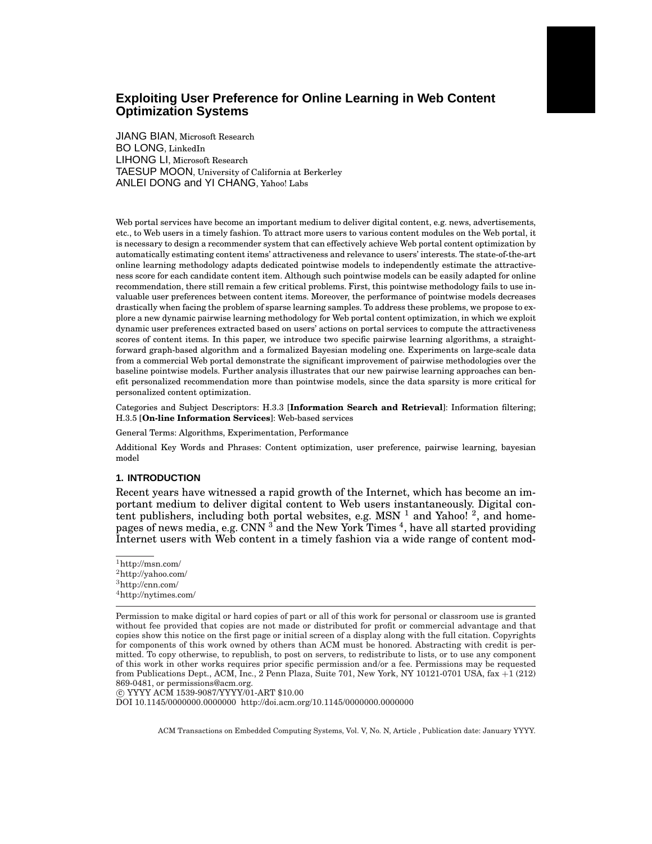JIANG BIAN, Microsoft Research BO LONG, LinkedIn LIHONG LI, Microsoft Research TAESUP MOON, University of California at Berkerley ANLEI DONG and YI CHANG, Yahoo! Labs

Web portal services have become an important medium to deliver digital content, e.g. news, advertisements, etc., to Web users in a timely fashion. To attract more users to various content modules on the Web portal, it is necessary to design a recommender system that can effectively achieve Web portal content optimization by automatically estimating content items' attractiveness and relevance to users' interests. The state-of-the-art online learning methodology adapts dedicated pointwise models to independently estimate the attractiveness score for each candidate content item. Although such pointwise models can be easily adapted for online recommendation, there still remain a few critical problems. First, this pointwise methodology fails to use invaluable user preferences between content items. Moreover, the performance of pointwise models decreases drastically when facing the problem of sparse learning samples. To address these problems, we propose to explore a new dynamic pairwise learning methodology for Web portal content optimization, in which we exploit dynamic user preferences extracted based on users' actions on portal services to compute the attractiveness scores of content items. In this paper, we introduce two specific pairwise learning algorithms, a straightforward graph-based algorithm and a formalized Bayesian modeling one. Experiments on large-scale data from a commercial Web portal demonstrate the significant improvement of pairwise methodologies over the baseline pointwise models. Further analysis illustrates that our new pairwise learning approaches can benefit personalized recommendation more than pointwise models, since the data sparsity is more critical for personalized content optimization.

Categories and Subject Descriptors: H.3.3 [**Information Search and Retrieval**]: Information filtering; H.3.5 [**On-line Information Services**]: Web-based services

General Terms: Algorithms, Experimentation, Performance

Additional Key Words and Phrases: Content optimization, user preference, pairwise learning, bayesian model

### **1. INTRODUCTION**

Recent years have witnessed a rapid growth of the Internet, which has become an important medium to deliver digital content to Web users instantaneously. Digital content publishers, including both portal websites, e.g. MSN  $^1$  and Yahoo!  $^2$ , and homepages of news media, e.g. CNN <sup>3</sup> and the New York Times <sup>4</sup>, have all started providing Internet users with Web content in a timely fashion via a wide range of content mod-

°c YYYY ACM 1539-9087/YYYY/01-ART \$10.00

DOI 10.1145/0000000.0000000 http://doi.acm.org/10.1145/0000000.0000000

<sup>1</sup>http://msn.com/ <sup>2</sup>http://yahoo.com/  $^3$ http://cnn.com/  $^4$ http://nytimes.com/

Permission to make digital or hard copies of part or all of this work for personal or classroom use is granted without fee provided that copies are not made or distributed for profit or commercial advantage and that copies show this notice on the first page or initial screen of a display along with the full citation. Copyrights for components of this work owned by others than ACM must be honored. Abstracting with credit is permitted. To copy otherwise, to republish, to post on servers, to redistribute to lists, or to use any component of this work in other works requires prior specific permission and/or a fee. Permissions may be requested from Publications Dept., ACM, Inc., 2 Penn Plaza, Suite 701, New York, NY 10121-0701 USA, fax +1 (212) 869-0481, or permissions@acm.org.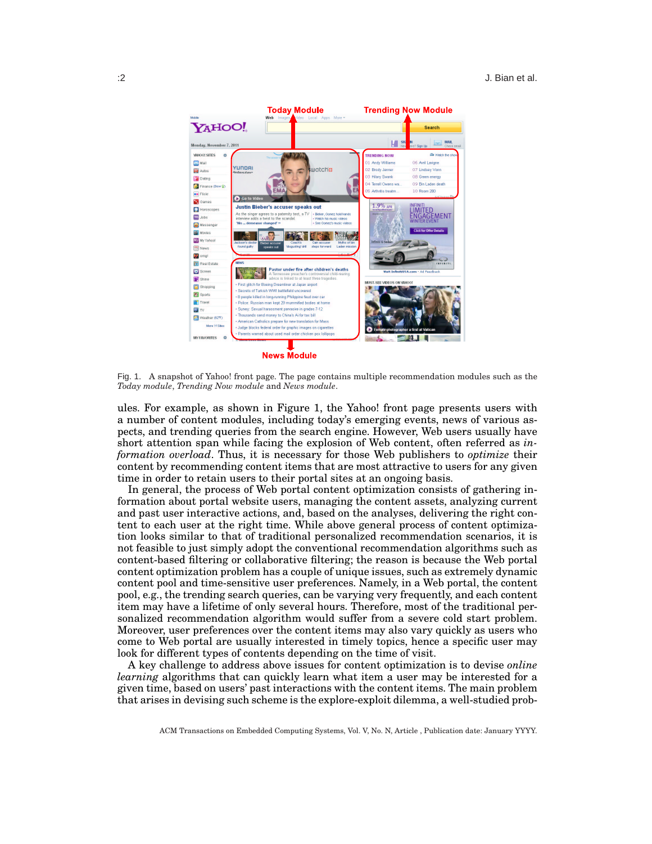

Fig. 1. A snapshot of Yahoo! front page. The page contains multiple recommendation modules such as the *Today module*, *Trending Now module* and *News module*.

ules. For example, as shown in Figure 1, the Yahoo! front page presents users with a number of content modules, including today's emerging events, news of various aspects, and trending queries from the search engine. However, Web users usually have short attention span while facing the explosion of Web content, often referred as *information overload*. Thus, it is necessary for those Web publishers to *optimize* their content by recommending content items that are most attractive to users for any given time in order to retain users to their portal sites at an ongoing basis.

In general, the process of Web portal content optimization consists of gathering information about portal website users, managing the content assets, analyzing current and past user interactive actions, and, based on the analyses, delivering the right content to each user at the right time. While above general process of content optimization looks similar to that of traditional personalized recommendation scenarios, it is not feasible to just simply adopt the conventional recommendation algorithms such as content-based filtering or collaborative filtering; the reason is because the Web portal content optimization problem has a couple of unique issues, such as extremely dynamic content pool and time-sensitive user preferences. Namely, in a Web portal, the content pool, e.g., the trending search queries, can be varying very frequently, and each content item may have a lifetime of only several hours. Therefore, most of the traditional personalized recommendation algorithm would suffer from a severe cold start problem. Moreover, user preferences over the content items may also vary quickly as users who come to Web portal are usually interested in timely topics, hence a specific user may look for different types of contents depending on the time of visit.

A key challenge to address above issues for content optimization is to devise *online learning* algorithms that can quickly learn what item a user may be interested for a given time, based on users' past interactions with the content items. The main problem that arises in devising such scheme is the explore-exploit dilemma, a well-studied prob-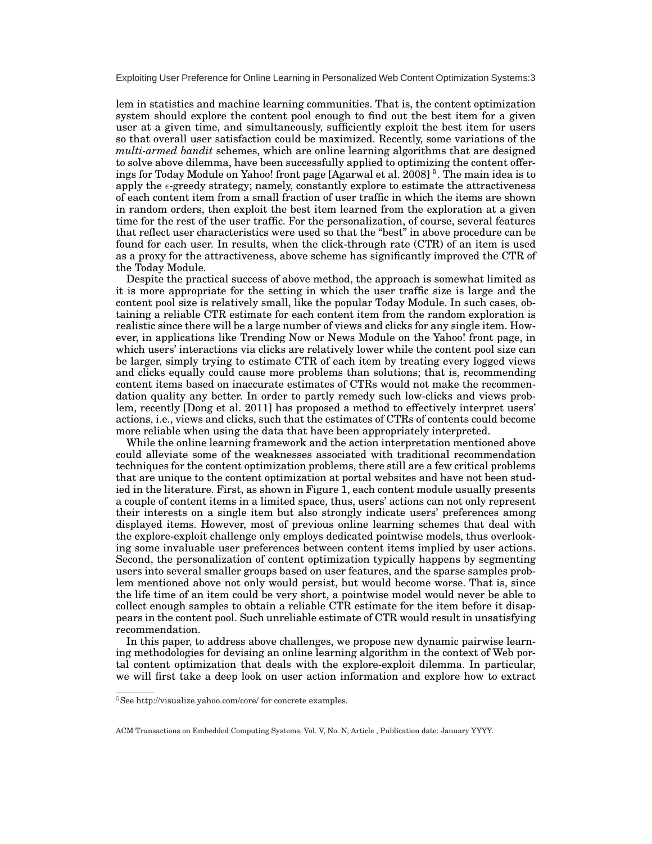lem in statistics and machine learning communities. That is, the content optimization system should explore the content pool enough to find out the best item for a given user at a given time, and simultaneously, sufficiently exploit the best item for users so that overall user satisfaction could be maximized. Recently, some variations of the *multi-armed bandit* schemes, which are online learning algorithms that are designed to solve above dilemma, have been successfully applied to optimizing the content offerings for Today Module on Yahoo! front page [Agarwal et al. 2008] <sup>5</sup> . The main idea is to apply the  $\epsilon$ -greedy strategy; namely, constantly explore to estimate the attractiveness of each content item from a small fraction of user traffic in which the items are shown in random orders, then exploit the best item learned from the exploration at a given time for the rest of the user traffic. For the personalization, of course, several features that reflect user characteristics were used so that the "best" in above procedure can be found for each user. In results, when the click-through rate (CTR) of an item is used as a proxy for the attractiveness, above scheme has significantly improved the CTR of the Today Module.

Despite the practical success of above method, the approach is somewhat limited as it is more appropriate for the setting in which the user traffic size is large and the content pool size is relatively small, like the popular Today Module. In such cases, obtaining a reliable CTR estimate for each content item from the random exploration is realistic since there will be a large number of views and clicks for any single item. However, in applications like Trending Now or News Module on the Yahoo! front page, in which users' interactions via clicks are relatively lower while the content pool size can be larger, simply trying to estimate CTR of each item by treating every logged views and clicks equally could cause more problems than solutions; that is, recommending content items based on inaccurate estimates of CTRs would not make the recommendation quality any better. In order to partly remedy such low-clicks and views problem, recently [Dong et al. 2011] has proposed a method to effectively interpret users' actions, i.e., views and clicks, such that the estimates of CTRs of contents could become more reliable when using the data that have been appropriately interpreted.

While the online learning framework and the action interpretation mentioned above could alleviate some of the weaknesses associated with traditional recommendation techniques for the content optimization problems, there still are a few critical problems that are unique to the content optimization at portal websites and have not been studied in the literature. First, as shown in Figure 1, each content module usually presents a couple of content items in a limited space, thus, users' actions can not only represent their interests on a single item but also strongly indicate users' preferences among displayed items. However, most of previous online learning schemes that deal with the explore-exploit challenge only employs dedicated pointwise models, thus overlooking some invaluable user preferences between content items implied by user actions. Second, the personalization of content optimization typically happens by segmenting users into several smaller groups based on user features, and the sparse samples problem mentioned above not only would persist, but would become worse. That is, since the life time of an item could be very short, a pointwise model would never be able to collect enough samples to obtain a reliable CTR estimate for the item before it disappears in the content pool. Such unreliable estimate of CTR would result in unsatisfying recommendation.

In this paper, to address above challenges, we propose new dynamic pairwise learning methodologies for devising an online learning algorithm in the context of Web portal content optimization that deals with the explore-exploit dilemma. In particular, we will first take a deep look on user action information and explore how to extract

<sup>5</sup>See http://visualize.yahoo.com/core/ for concrete examples.

ACM Transactions on Embedded Computing Systems, Vol. V, No. N, Article , Publication date: January YYYY.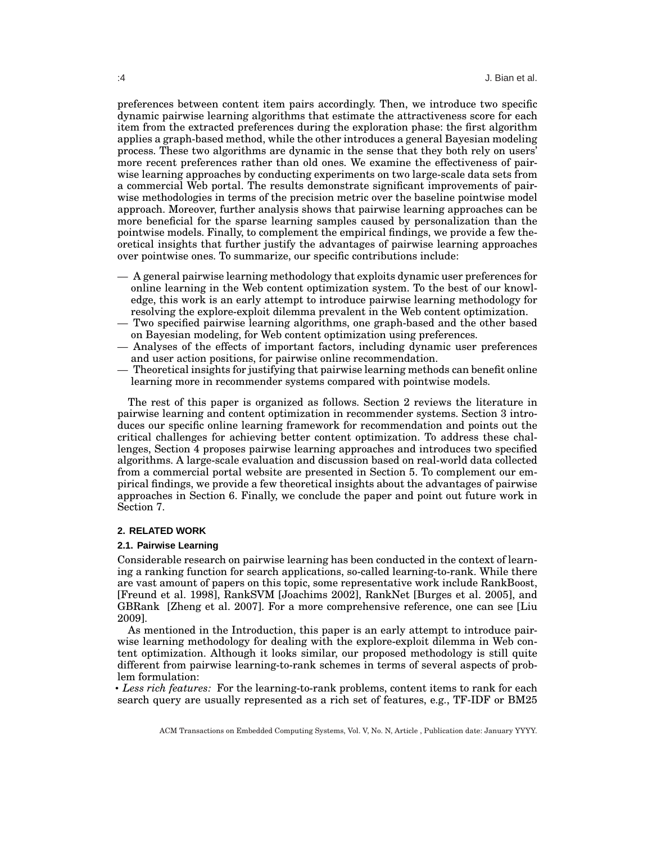preferences between content item pairs accordingly. Then, we introduce two specific dynamic pairwise learning algorithms that estimate the attractiveness score for each item from the extracted preferences during the exploration phase: the first algorithm applies a graph-based method, while the other introduces a general Bayesian modeling process. These two algorithms are dynamic in the sense that they both rely on users' more recent preferences rather than old ones. We examine the effectiveness of pairwise learning approaches by conducting experiments on two large-scale data sets from a commercial Web portal. The results demonstrate significant improvements of pairwise methodologies in terms of the precision metric over the baseline pointwise model approach. Moreover, further analysis shows that pairwise learning approaches can be more beneficial for the sparse learning samples caused by personalization than the pointwise models. Finally, to complement the empirical findings, we provide a few theoretical insights that further justify the advantages of pairwise learning approaches over pointwise ones. To summarize, our specific contributions include:

- A general pairwise learning methodology that exploits dynamic user preferences for online learning in the Web content optimization system. To the best of our knowledge, this work is an early attempt to introduce pairwise learning methodology for resolving the explore-exploit dilemma prevalent in the Web content optimization.
- Two specified pairwise learning algorithms, one graph-based and the other based on Bayesian modeling, for Web content optimization using preferences.
- Analyses of the effects of important factors, including dynamic user preferences and user action positions, for pairwise online recommendation.
- Theoretical insights for justifying that pairwise learning methods can benefit online learning more in recommender systems compared with pointwise models.

The rest of this paper is organized as follows. Section 2 reviews the literature in pairwise learning and content optimization in recommender systems. Section 3 introduces our specific online learning framework for recommendation and points out the critical challenges for achieving better content optimization. To address these challenges, Section 4 proposes pairwise learning approaches and introduces two specified algorithms. A large-scale evaluation and discussion based on real-world data collected from a commercial portal website are presented in Section 5. To complement our empirical findings, we provide a few theoretical insights about the advantages of pairwise approaches in Section 6. Finally, we conclude the paper and point out future work in Section 7.

## **2. RELATED WORK**

### **2.1. Pairwise Learning**

Considerable research on pairwise learning has been conducted in the context of learning a ranking function for search applications, so-called learning-to-rank. While there are vast amount of papers on this topic, some representative work include RankBoost, [Freund et al. 1998], RankSVM [Joachims 2002], RankNet [Burges et al. 2005], and GBRank [Zheng et al. 2007]. For a more comprehensive reference, one can see [Liu 2009].

As mentioned in the Introduction, this paper is an early attempt to introduce pairwise learning methodology for dealing with the explore-exploit dilemma in Web content optimization. Although it looks similar, our proposed methodology is still quite different from pairwise learning-to-rank schemes in terms of several aspects of problem formulation:

<sup>r</sup> *Less rich features:* For the learning-to-rank problems, content items to rank for each search query are usually represented as a rich set of features, e.g., TF-IDF or BM25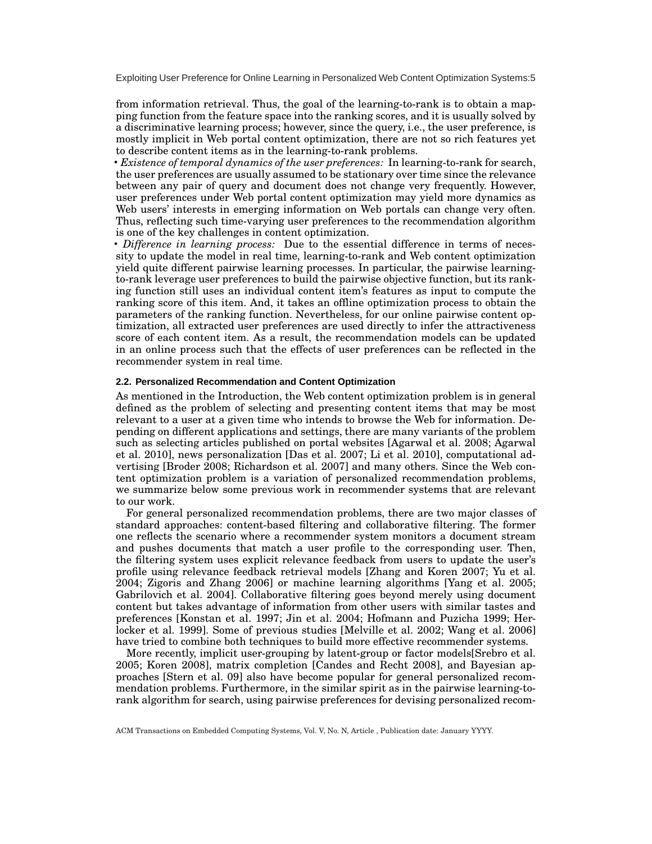from information retrieval. Thus, the goal of the learning-to-rank is to obtain a mapping function from the feature space into the ranking scores, and it is usually solved by a discriminative learning process; however, since the query, i.e., the user preference, is mostly implicit in Web portal content optimization, there are not so rich features yet to describe content items as in the learning-to-rank problems.

<sup>r</sup> *Existence of temporal dynamics of the user preferences:* In learning-to-rank for search, the user preferences are usually assumed to be stationary over time since the relevance between any pair of query and document does not change very frequently. However, user preferences under Web portal content optimization may yield more dynamics as Web users' interests in emerging information on Web portals can change very often. Thus, reflecting such time-varying user preferences to the recommendation algorithm is one of the key challenges in content optimization.

<sup>r</sup> *Difference in learning process:* Due to the essential difference in terms of necessity to update the model in real time, learning-to-rank and Web content optimization yield quite different pairwise learning processes. In particular, the pairwise learningto-rank leverage user preferences to build the pairwise objective function, but its ranking function still uses an individual content item's features as input to compute the ranking score of this item. And, it takes an offline optimization process to obtain the parameters of the ranking function. Nevertheless, for our online pairwise content optimization, all extracted user preferences are used directly to infer the attractiveness score of each content item. As a result, the recommendation models can be updated in an online process such that the effects of user preferences can be reflected in the recommender system in real time.

## **2.2. Personalized Recommendation and Content Optimization**

As mentioned in the Introduction, the Web content optimization problem is in general defined as the problem of selecting and presenting content items that may be most relevant to a user at a given time who intends to browse the Web for information. Depending on different applications and settings, there are many variants of the problem such as selecting articles published on portal websites [Agarwal et al. 2008; Agarwal et al. 2010], news personalization [Das et al. 2007; Li et al. 2010], computational advertising [Broder 2008; Richardson et al. 2007] and many others. Since the Web content optimization problem is a variation of personalized recommendation problems, we summarize below some previous work in recommender systems that are relevant to our work.

For general personalized recommendation problems, there are two major classes of standard approaches: content-based filtering and collaborative filtering. The former one reflects the scenario where a recommender system monitors a document stream and pushes documents that match a user profile to the corresponding user. Then, the filtering system uses explicit relevance feedback from users to update the user's profile using relevance feedback retrieval models [Zhang and Koren 2007; Yu et al. 2004; Zigoris and Zhang 2006] or machine learning algorithms [Yang et al. 2005; Gabrilovich et al. 2004]. Collaborative filtering goes beyond merely using document content but takes advantage of information from other users with similar tastes and preferences [Konstan et al. 1997; Jin et al. 2004; Hofmann and Puzicha 1999; Herlocker et al. 1999]. Some of previous studies [Melville et al. 2002; Wang et al. 2006] have tried to combine both techniques to build more effective recommender systems.

More recently, implicit user-grouping by latent-group or factor models[Srebro et al. 2005; Koren 2008], matrix completion [Candes and Recht 2008], and Bayesian approaches [Stern et al. 09] also have become popular for general personalized recommendation problems. Furthermore, in the similar spirit as in the pairwise learning-torank algorithm for search, using pairwise preferences for devising personalized recom-

ACM Transactions on Embedded Computing Systems, Vol. V, No. N, Article , Publication date: January YYYY.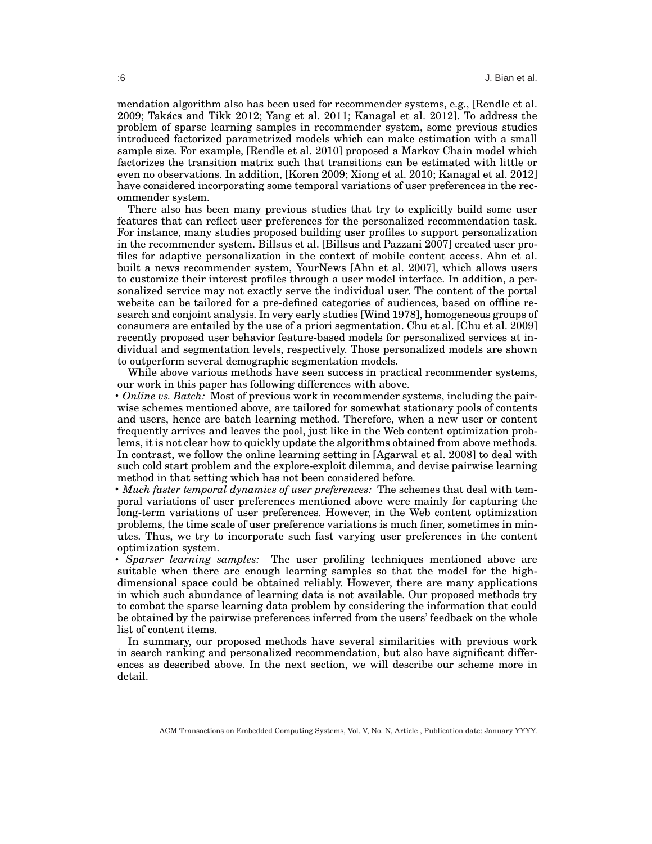mendation algorithm also has been used for recommender systems, e.g., [Rendle et al. 2009; Takacs and Tikk 2012; Yang et al. 2011; Kanagal et al. 2012]. To address the ´ problem of sparse learning samples in recommender system, some previous studies introduced factorized parametrized models which can make estimation with a small sample size. For example, [Rendle et al. 2010] proposed a Markov Chain model which factorizes the transition matrix such that transitions can be estimated with little or even no observations. In addition, [Koren 2009; Xiong et al. 2010; Kanagal et al. 2012] have considered incorporating some temporal variations of user preferences in the recommender system.

There also has been many previous studies that try to explicitly build some user features that can reflect user preferences for the personalized recommendation task. For instance, many studies proposed building user profiles to support personalization in the recommender system. Billsus et al. [Billsus and Pazzani 2007] created user profiles for adaptive personalization in the context of mobile content access. Ahn et al. built a news recommender system, YourNews [Ahn et al. 2007], which allows users to customize their interest profiles through a user model interface. In addition, a personalized service may not exactly serve the individual user. The content of the portal website can be tailored for a pre-defined categories of audiences, based on offline research and conjoint analysis. In very early studies [Wind 1978], homogeneous groups of consumers are entailed by the use of a priori segmentation. Chu et al. [Chu et al. 2009] recently proposed user behavior feature-based models for personalized services at individual and segmentation levels, respectively. Those personalized models are shown to outperform several demographic segmentation models.

While above various methods have seen success in practical recommender systems, our work in this paper has following differences with above.

<sup>r</sup> *Online vs. Batch:* Most of previous work in recommender systems, including the pairwise schemes mentioned above, are tailored for somewhat stationary pools of contents and users, hence are batch learning method. Therefore, when a new user or content frequently arrives and leaves the pool, just like in the Web content optimization problems, it is not clear how to quickly update the algorithms obtained from above methods. In contrast, we follow the online learning setting in [Agarwal et al. 2008] to deal with such cold start problem and the explore-exploit dilemma, and devise pairwise learning method in that setting which has not been considered before.

<sup>r</sup> *Much faster temporal dynamics of user preferences:* The schemes that deal with temporal variations of user preferences mentioned above were mainly for capturing the long-term variations of user preferences. However, in the Web content optimization problems, the time scale of user preference variations is much finer, sometimes in minutes. Thus, we try to incorporate such fast varying user preferences in the content optimization system.

<sup>r</sup> *Sparser learning samples:* The user profiling techniques mentioned above are suitable when there are enough learning samples so that the model for the highdimensional space could be obtained reliably. However, there are many applications in which such abundance of learning data is not available. Our proposed methods try to combat the sparse learning data problem by considering the information that could be obtained by the pairwise preferences inferred from the users' feedback on the whole list of content items.

In summary, our proposed methods have several similarities with previous work in search ranking and personalized recommendation, but also have significant differences as described above. In the next section, we will describe our scheme more in detail.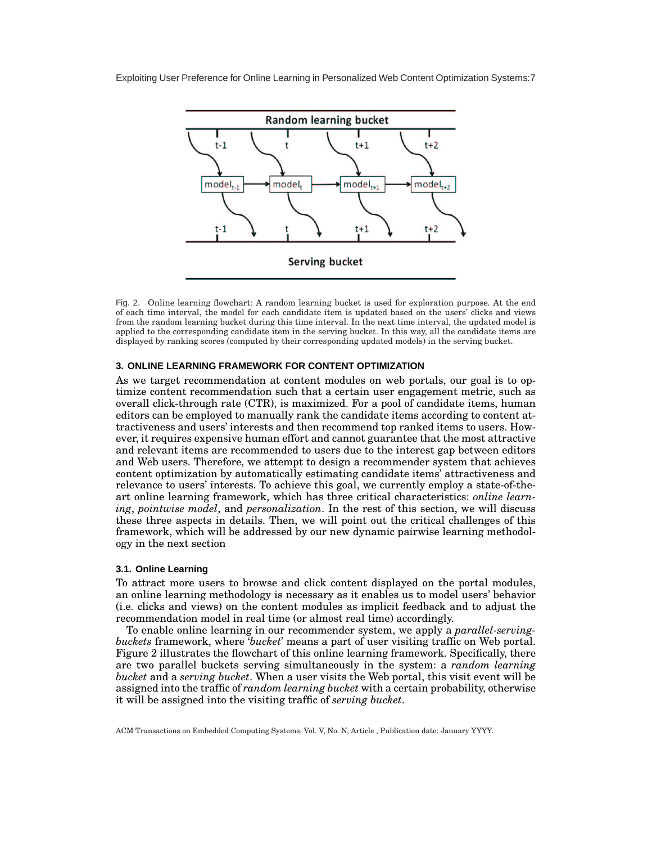

Fig. 2. Online learning flowchart: A random learning bucket is used for exploration purpose. At the end of each time interval, the model for each candidate item is updated based on the users' clicks and views from the random learning bucket during this time interval. In the next time interval, the updated model is applied to the corresponding candidate item in the serving bucket. In this way, all the candidate items are displayed by ranking scores (computed by their corresponding updated models) in the serving bucket.

## **3. ONLINE LEARNING FRAMEWORK FOR CONTENT OPTIMIZATION**

As we target recommendation at content modules on web portals, our goal is to optimize content recommendation such that a certain user engagement metric, such as overall click-through rate (CTR), is maximized. For a pool of candidate items, human editors can be employed to manually rank the candidate items according to content attractiveness and users' interests and then recommend top ranked items to users. However, it requires expensive human effort and cannot guarantee that the most attractive and relevant items are recommended to users due to the interest gap between editors and Web users. Therefore, we attempt to design a recommender system that achieves content optimization by automatically estimating candidate items' attractiveness and relevance to users' interests. To achieve this goal, we currently employ a state-of-theart online learning framework, which has three critical characteristics: *online learning*, *pointwise model*, and *personalization*. In the rest of this section, we will discuss these three aspects in details. Then, we will point out the critical challenges of this framework, which will be addressed by our new dynamic pairwise learning methodology in the next section

## **3.1. Online Learning**

To attract more users to browse and click content displayed on the portal modules, an online learning methodology is necessary as it enables us to model users' behavior (i.e. clicks and views) on the content modules as implicit feedback and to adjust the recommendation model in real time (or almost real time) accordingly.

To enable online learning in our recommender system, we apply a *parallel-servingbuckets* framework, where '*bucket*' means a part of user visiting traffic on Web portal. Figure 2 illustrates the flowchart of this online learning framework. Specifically, there are two parallel buckets serving simultaneously in the system: a *random learning bucket* and a *serving bucket*. When a user visits the Web portal, this visit event will be assigned into the traffic of *random learning bucket* with a certain probability, otherwise it will be assigned into the visiting traffic of *serving bucket*.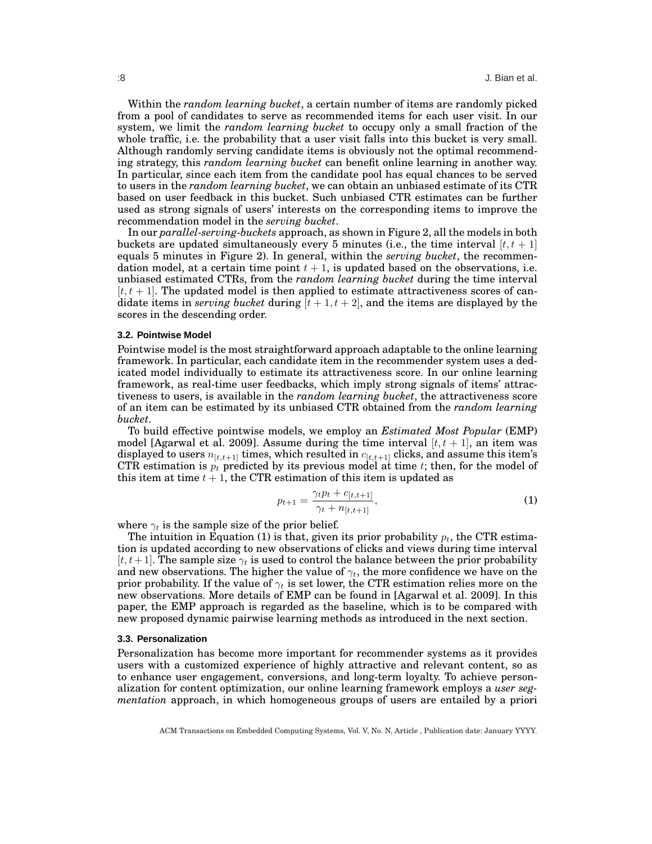Within the *random learning bucket*, a certain number of items are randomly picked from a pool of candidates to serve as recommended items for each user visit. In our system, we limit the *random learning bucket* to occupy only a small fraction of the whole traffic, i.e. the probability that a user visit falls into this bucket is very small. Although randomly serving candidate items is obviously not the optimal recommending strategy, this *random learning bucket* can benefit online learning in another way. In particular, since each item from the candidate pool has equal chances to be served to users in the *random learning bucket*, we can obtain an unbiased estimate of its CTR based on user feedback in this bucket. Such unbiased CTR estimates can be further used as strong signals of users' interests on the corresponding items to improve the recommendation model in the *serving bucket*.

In our *parallel-serving-buckets* approach, as shown in Figure 2, all the models in both buckets are updated simultaneously every 5 minutes (i.e., the time interval  $[t, t + 1]$ ) equals 5 minutes in Figure 2). In general, within the *serving bucket*, the recommendation model, at a certain time point  $t + 1$ , is updated based on the observations, i.e. unbiased estimated CTRs, from the *random learning bucket* during the time interval  $[t, t + 1]$ . The updated model is then applied to estimate attractiveness scores of candidate items in *serving bucket* during  $[t + 1, t + 2]$ , and the items are displayed by the scores in the descending order.

## **3.2. Pointwise Model**

Pointwise model is the most straightforward approach adaptable to the online learning framework. In particular, each candidate item in the recommender system uses a dedicated model individually to estimate its attractiveness score. In our online learning framework, as real-time user feedbacks, which imply strong signals of items' attractiveness to users, is available in the *random learning bucket*, the attractiveness score of an item can be estimated by its unbiased CTR obtained from the *random learning bucket*.

To build effective pointwise models, we employ an *Estimated Most Popular* (EMP) model [Agarwal et al. 2009]. Assume during the time interval  $[t, t + 1]$ , an item was displayed to users  $n_{[t,t+1]}$  times, which resulted in  $c_{[t,t+1]}$  clicks, and assume this item's CTR estimation is  $p_t$  predicted by its previous model at time t; then, for the model of this item at time  $t + 1$ , the CTR estimation of this item is updated as

$$
p_{t+1} = \frac{\gamma_t p_t + c_{[t,t+1]}}{\gamma_t + n_{[t,t+1]}},
$$
\n(1)

where  $\gamma_t$  is the sample size of the prior belief.

The intuition in Equation (1) is that, given its prior probability  $p_t$ , the CTR estimation is updated according to new observations of clicks and views during time interval  $[t, t+1]$ . The sample size  $\gamma_t$  is used to control the balance between the prior probability and new observations. The higher the value of  $\gamma_t$ , the more confidence we have on the prior probability. If the value of  $\gamma_t$  is set lower, the CTR estimation relies more on the new observations. More details of EMP can be found in [Agarwal et al. 2009]. In this paper, the EMP approach is regarded as the baseline, which is to be compared with new proposed dynamic pairwise learning methods as introduced in the next section.

### **3.3. Personalization**

Personalization has become more important for recommender systems as it provides users with a customized experience of highly attractive and relevant content, so as to enhance user engagement, conversions, and long-term loyalty. To achieve personalization for content optimization, our online learning framework employs a *user segmentation* approach, in which homogeneous groups of users are entailed by a priori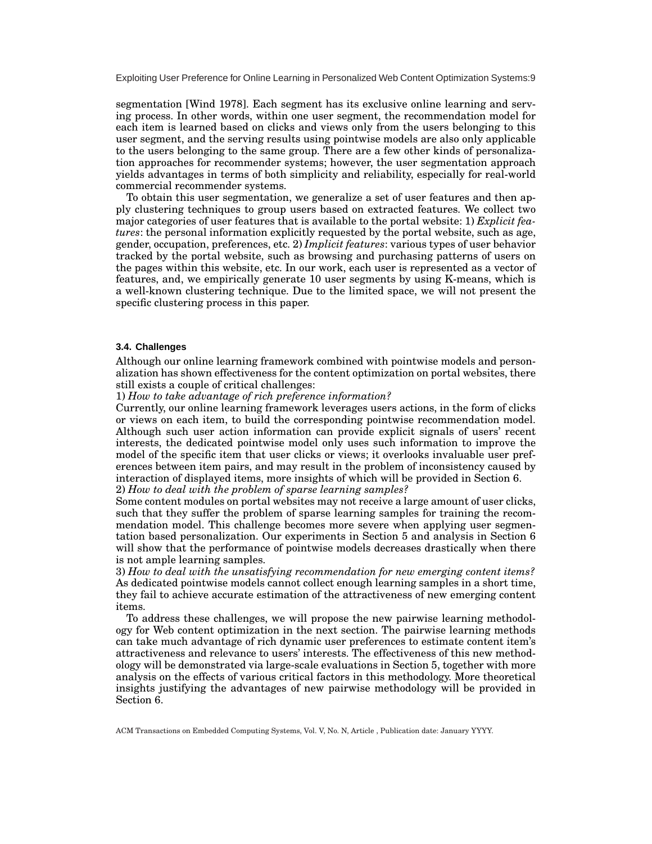segmentation [Wind 1978]. Each segment has its exclusive online learning and serving process. In other words, within one user segment, the recommendation model for each item is learned based on clicks and views only from the users belonging to this user segment, and the serving results using pointwise models are also only applicable to the users belonging to the same group. There are a few other kinds of personalization approaches for recommender systems; however, the user segmentation approach yields advantages in terms of both simplicity and reliability, especially for real-world commercial recommender systems.

To obtain this user segmentation, we generalize a set of user features and then apply clustering techniques to group users based on extracted features. We collect two major categories of user features that is available to the portal website: 1) *Explicit features*: the personal information explicitly requested by the portal website, such as age, gender, occupation, preferences, etc. 2) *Implicit features*: various types of user behavior tracked by the portal website, such as browsing and purchasing patterns of users on the pages within this website, etc. In our work, each user is represented as a vector of features, and, we empirically generate 10 user segments by using K-means, which is a well-known clustering technique. Due to the limited space, we will not present the specific clustering process in this paper.

## **3.4. Challenges**

Although our online learning framework combined with pointwise models and personalization has shown effectiveness for the content optimization on portal websites, there still exists a couple of critical challenges:

1) *How to take advantage of rich preference information?*

Currently, our online learning framework leverages users actions, in the form of clicks or views on each item, to build the corresponding pointwise recommendation model. Although such user action information can provide explicit signals of users' recent interests, the dedicated pointwise model only uses such information to improve the model of the specific item that user clicks or views; it overlooks invaluable user preferences between item pairs, and may result in the problem of inconsistency caused by interaction of displayed items, more insights of which will be provided in Section 6. 2) *How to deal with the problem of sparse learning samples?*

Some content modules on portal websites may not receive a large amount of user clicks, such that they suffer the problem of sparse learning samples for training the recommendation model. This challenge becomes more severe when applying user segmentation based personalization. Our experiments in Section 5 and analysis in Section 6 will show that the performance of pointwise models decreases drastically when there is not ample learning samples.

3) *How to deal with the unsatisfying recommendation for new emerging content items?* As dedicated pointwise models cannot collect enough learning samples in a short time, they fail to achieve accurate estimation of the attractiveness of new emerging content items.

To address these challenges, we will propose the new pairwise learning methodology for Web content optimization in the next section. The pairwise learning methods can take much advantage of rich dynamic user preferences to estimate content item's attractiveness and relevance to users' interests. The effectiveness of this new methodology will be demonstrated via large-scale evaluations in Section 5, together with more analysis on the effects of various critical factors in this methodology. More theoretical insights justifying the advantages of new pairwise methodology will be provided in Section 6.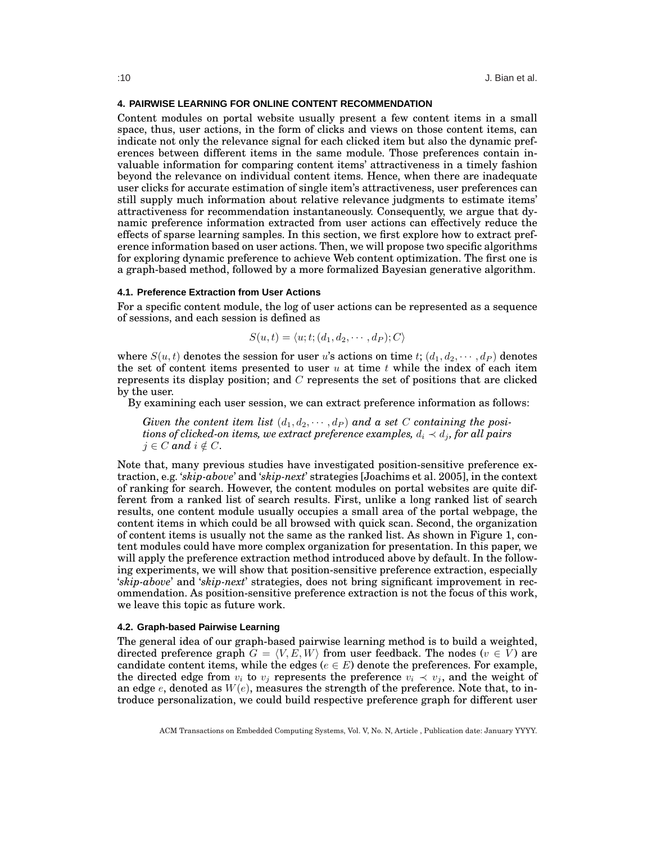## **4. PAIRWISE LEARNING FOR ONLINE CONTENT RECOMMENDATION**

Content modules on portal website usually present a few content items in a small space, thus, user actions, in the form of clicks and views on those content items, can indicate not only the relevance signal for each clicked item but also the dynamic preferences between different items in the same module. Those preferences contain invaluable information for comparing content items' attractiveness in a timely fashion beyond the relevance on individual content items. Hence, when there are inadequate user clicks for accurate estimation of single item's attractiveness, user preferences can still supply much information about relative relevance judgments to estimate items' attractiveness for recommendation instantaneously. Consequently, we argue that dynamic preference information extracted from user actions can effectively reduce the effects of sparse learning samples. In this section, we first explore how to extract preference information based on user actions. Then, we will propose two specific algorithms for exploring dynamic preference to achieve Web content optimization. The first one is a graph-based method, followed by a more formalized Bayesian generative algorithm.

### **4.1. Preference Extraction from User Actions**

For a specific content module, the log of user actions can be represented as a sequence of sessions, and each session is defined as

$$
S(u,t) = \langle u;t; (d_1, d_2, \cdots, d_P); C \rangle
$$

where  $S(u, t)$  denotes the session for user u's actions on time t;  $(d_1, d_2, \dots, d_p)$  denotes the set of content items presented to user  $u$  at time  $t$  while the index of each item represents its display position; and  $C$  represents the set of positions that are clicked by the user.

By examining each user session, we can extract preference information as follows:

*Given the content item list*  $(d_1, d_2, \dots, d_p)$  and a set C containing the posi*tions of clicked-on items, we extract preference examples,*  $d_i \prec d_j$ *, for all pairs*  $j \in C$  *and*  $i \notin C$ .

Note that, many previous studies have investigated position-sensitive preference extraction, e.g. '*skip-above*' and '*skip-next*' strategies [Joachims et al. 2005], in the context of ranking for search. However, the content modules on portal websites are quite different from a ranked list of search results. First, unlike a long ranked list of search results, one content module usually occupies a small area of the portal webpage, the content items in which could be all browsed with quick scan. Second, the organization of content items is usually not the same as the ranked list. As shown in Figure 1, content modules could have more complex organization for presentation. In this paper, we will apply the preference extraction method introduced above by default. In the following experiments, we will show that position-sensitive preference extraction, especially '*skip-above*' and '*skip-next*' strategies, does not bring significant improvement in recommendation. As position-sensitive preference extraction is not the focus of this work, we leave this topic as future work.

## **4.2. Graph-based Pairwise Learning**

The general idea of our graph-based pairwise learning method is to build a weighted, directed preference graph  $\tilde{G} = \langle V, E, W \rangle$  from user feedback. The nodes  $(v \in V)$  are candidate content items, while the edges ( $e \in E$ ) denote the preferences. For example, the directed edge from  $v_i$  to  $v_j$  represents the preference  $v_i \prec v_j$ , and the weight of an edge e, denoted as  $W(e)$ , measures the strength of the preference. Note that, to introduce personalization, we could build respective preference graph for different user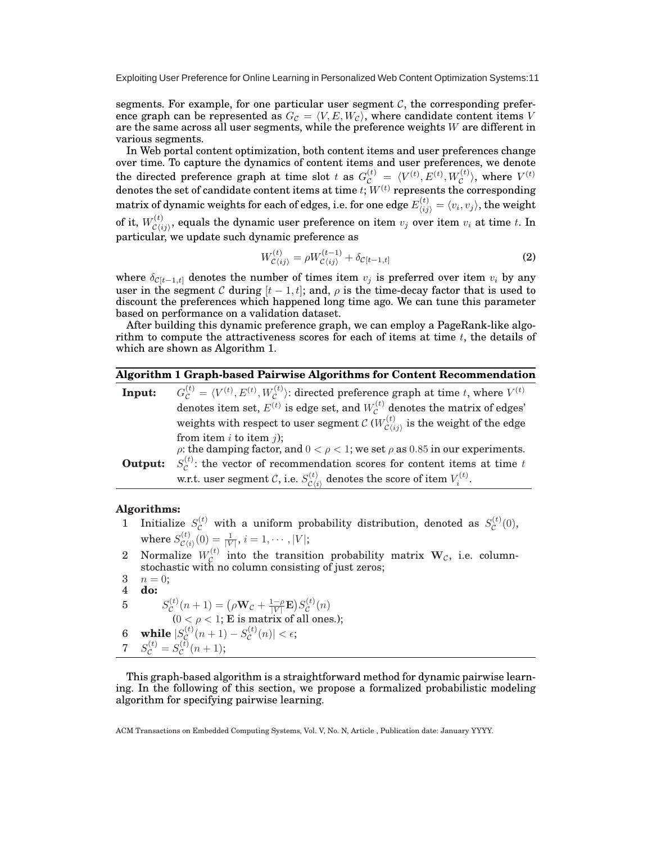segments. For example, for one particular user segment  $C$ , the corresponding preference graph can be represented as  $G_c = \langle V, E, W_c \rangle$ , where candidate content items V are the same across all user segments, while the preference weights W are different in various segments.

In Web portal content optimization, both content items and user preferences change over time. To capture the dynamics of content items and user preferences, we denote the directed preference graph at time slot t as  $G_C^{(t)} = \langle V^{(t)}, E^{(t)}, W_C^{(t)} \rangle$ , where  $V^{(t)}$ denotes the set of candidate content items at time  $t;W^{(t)}$  represents the corresponding matrix of dynamic weights for each of edges, i.e. for one edge  $E^{(t)}_{\langle ij\rangle}=\langle v_i,v_j\rangle,$  the weight of it,  $W_{\mathcal{C}/i}^{(t)}$  $\mathcal{C}^{(t)}_{\mathcal{C}(ij)}$ , equals the dynamic user preference on item  $v_j$  over item  $v_i$  at time  $t$ . In particular, we update such dynamic preference as

$$
W_{\mathcal{C}(ij)}^{(t)} = \rho W_{\mathcal{C}(ij)}^{(t-1)} + \delta_{\mathcal{C}[t-1,t]} \tag{2}
$$

where  $\delta_{\mathcal{C}[t-1,t]}$  denotes the number of times item  $v_j$  is preferred over item  $v_i$  by any user in the segment C during  $[t - 1, t]$ ; and,  $\rho$  is the time-decay factor that is used to discount the preferences which happened long time ago. We can tune this parameter based on performance on a validation dataset.

After building this dynamic preference graph, we can employ a PageRank-like algorithm to compute the attractiveness scores for each of items at time  $t$ , the details of which are shown as Algorithm 1.

## **Algorithm 1 Graph-based Pairwise Algorithms for Content Recommendation**

| Input:  | $G_C^{(t)} = \langle V^{(t)}, E^{(t)}, W_C^{(t)} \rangle$ : directed preference graph at time t, where $V^{(t)}$ |  |  |  |  |  |
|---------|------------------------------------------------------------------------------------------------------------------|--|--|--|--|--|
|         | denotes item set, $E^{(t)}$ is edge set, and $W_c^{(t)}$ denotes the matrix of edges'                            |  |  |  |  |  |
|         | weights with respect to user segment $\mathcal{C}(W_{\mathcal{C}(ii)}^{(t)})$ is the weight of the edge          |  |  |  |  |  |
|         | from item $i$ to item $j$ );                                                                                     |  |  |  |  |  |
|         | $\rho$ : the damping factor, and $0 < \rho < 1$ ; we set $\rho$ as 0.85 in our experiments.                      |  |  |  |  |  |
| Output: | $S_{\sigma}^{(t)}$ : the vector of recommendation scores for content items at time t                             |  |  |  |  |  |
|         | w.r.t. user segment C, i.e. $S_{\mathcal{C}(i)}^{(t)}$ denotes the score of item $V_i^{(t)}$ .                   |  |  |  |  |  |

## **Algorithms:**

- 1 Initialize  $S_C^{(t)}$  with a uniform probability distribution, denoted as  $S_C^{(t)}$  $\mathcal{C}^{(t)}(0),$ where  $S_{\mathcal{C}/\mathcal{S}}^{(t)}$  $\mathcal{C}^{(t)}_{\mathcal{C}\langle i\rangle}(0)=\frac{1}{|V|},\,i=1,\cdots,|V|;$
- 2 Normalize  $W_c^{(t)}$  $\mathcal{C}^{(t)}$  into the transition probability matrix  $\mathbf{W}_{\mathcal{C}}$ , i.e. columnstochastic with no column consisting of just zeros;

3  $n = 0$ ; 4 **do:** 5  $S_c^{(t)}$  $c^{(t)}(n+1) = (\rho \mathbf{W}_{\mathcal{C}} + \frac{1-\rho}{|V|} \mathbf{E})$ ¢  $S_{\cal C}^{(t)}$  $\overset{(\iota)}{c}(n)$  $(0 < \rho < 1;$  E is matrix of all ones.); 6 **while**  $|S_c^{(t)}|$  $S_{\cal C}^{(t)}(n+1) - S_{\cal C}^{(t)}$  $\mathcal{C}^{(t)}(n)| < \epsilon;$ 7  $S_{\mathcal{C}}^{(t)} = S_{\mathcal{C}}^{(t)}$  $\mathcal{C}^{(t)}(n+1);$ 

This graph-based algorithm is a straightforward method for dynamic pairwise learning. In the following of this section, we propose a formalized probabilistic modeling algorithm for specifying pairwise learning.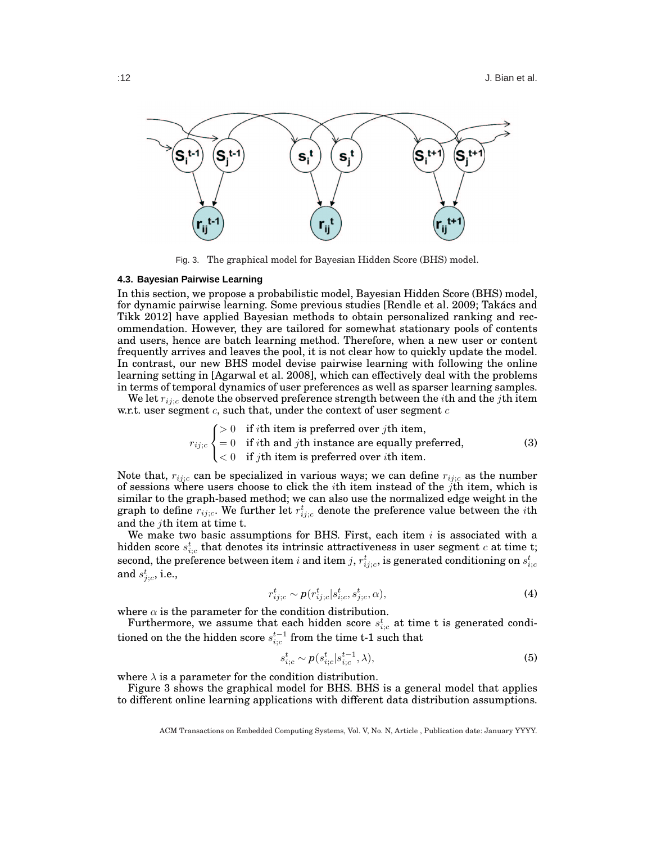

Fig. 3. The graphical model for Bayesian Hidden Score (BHS) model.

#### **4.3. Bayesian Pairwise Learning**

In this section, we propose a probabilistic model, Bayesian Hidden Score (BHS) model, for dynamic pairwise learning. Some previous studies [Rendle et al. 2009; Takacs and ´ Tikk 2012] have applied Bayesian methods to obtain personalized ranking and recommendation. However, they are tailored for somewhat stationary pools of contents and users, hence are batch learning method. Therefore, when a new user or content frequently arrives and leaves the pool, it is not clear how to quickly update the model. In contrast, our new BHS model devise pairwise learning with following the online learning setting in [Agarwal et al. 2008], which can effectively deal with the problems in terms of temporal dynamics of user preferences as well as sparser learning samples.

We let  $r_{ij,c}$  denote the observed preference strength between the *i*th and the *j*th item w.r.t. user segment  $c$ , such that, under the context of user segment  $c$ 

$$
r_{ij;c} \begin{cases} > 0 & \text{if } i \text{th item is preferred over } j \text{th item,} \\ = 0 & \text{if } i \text{th and } j \text{th instance are equally preferred,} \\ < 0 & \text{if } j \text{th item is preferred over } i \text{th item.} \end{cases} \tag{3}
$$

Note that,  $r_{ij;c}$  can be specialized in various ways; we can define  $r_{ij;c}$  as the number of sessions where users choose to click the *i*th item instead of the *j*th item, which is similar to the graph-based method; we can also use the normalized edge weight in the graph to define  $r_{ij;c}$ . We further let  $r_{ij;c}^t$  denote the preference value between the *i*th and the jth item at time t.

We make two basic assumptions for BHS. First, each item  $i$  is associated with a hidden score  $s_{i;c}^{t}$  that denotes its intrinsic attractiveness in user segment  $c$  at time t; second, the preference between item  $i$  and item  $j$ ,  $r_{ij;c}^t$  is generated conditioning on  $s_{i;c}^t$ and  $s_{j;c}^t$ , i.e.,

$$
r_{ij;c}^t \sim p(r_{ij;c}^t | s_{i;c}^t, s_{j;c}^t, \alpha), \tag{4}
$$

where  $\alpha$  is the parameter for the condition distribution.

Furthermore, we assume that each hidden score  $s_{i;c}^{t}$  at time t is generated conditioned on the the hidden score  $s_{i;c}^{t-1}$  from the time t-1 such that

$$
s_{i;c}^t \sim p(s_{i;c}^t | s_{i;c}^{t-1}, \lambda), \tag{5}
$$

where  $\lambda$  is a parameter for the condition distribution.

Figure 3 shows the graphical model for BHS. BHS is a general model that applies to different online learning applications with different data distribution assumptions.

ACM Transactions on Embedded Computing Systems, Vol. V, No. N, Article , Publication date: January YYYY.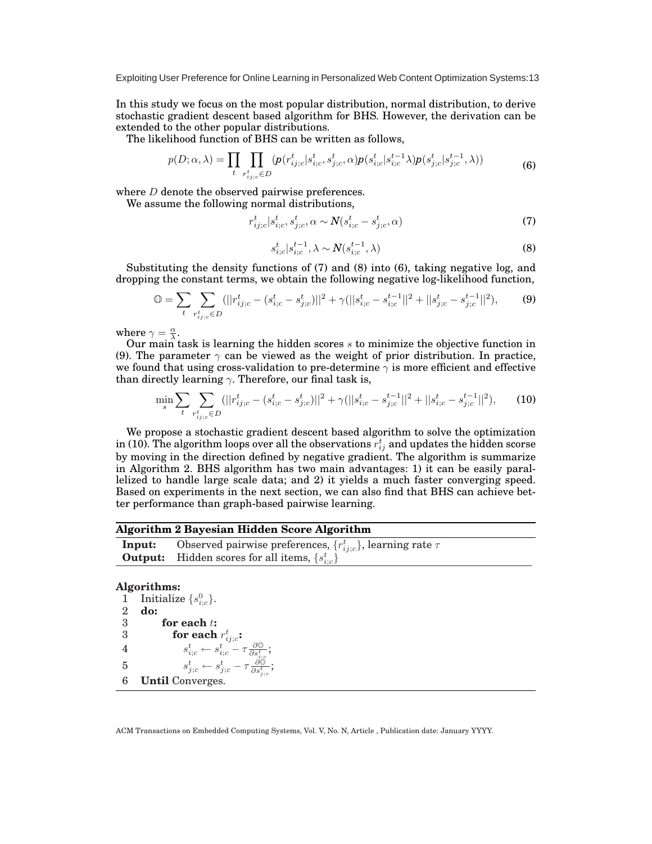In this study we focus on the most popular distribution, normal distribution, to derive stochastic gradient descent based algorithm for BHS. However, the derivation can be extended to the other popular distributions.

The likelihood function of BHS can be written as follows,

$$
p(D; \alpha, \lambda) = \prod_{t} \prod_{r_{ij;c}^t \in D} (p(r_{ij;c}^t | s_{i;c}^t, s_{j;c}^t, \alpha) p(s_{i;c}^t | s_{i;c}^{t-1} \lambda) p(s_{j;c}^t | s_{j;c}^{t-1}, \lambda))
$$
(6)

where *D* denote the observed pairwise preferences.

We assume the following normal distributions,

$$
r_{ij;c}^{t}|s_{i;c}^{t}, s_{j;c}^{t}, \alpha \sim N(s_{i;c}^{t} - s_{j;c}^{t}, \alpha)
$$
\n(7)

$$
s_{i;c}^{t}|s_{i;c}^{t-1},\lambda \sim N(s_{i;c}^{t-1},\lambda)
$$
\n(8)

Substituting the density functions of (7) and (8) into (6), taking negative log, and dropping the constant terms, we obtain the following negative log-likelihood function,

$$
\mathbb{O} = \sum_{t} \sum_{r_{ij,c}^t \in D} (||r_{ij;c}^t - (s_{i;c}^t - s_{j;c}^t)||^2 + \gamma (||s_{i;c}^t - s_{i;c}^{t-1}||^2 + ||s_{j;c}^t - s_{j;c}^{t-1}||^2),
$$
\n(9)

where  $\gamma = \frac{\alpha}{\lambda}$ .

Our main task is learning the hidden scores  $s$  to minimize the objective function in (9). The parameter  $\gamma$  can be viewed as the weight of prior distribution. In practice, we found that using cross-validation to pre-determine  $\gamma$  is more efficient and effective than directly learning  $\gamma$ . Therefore, our final task is,

$$
\min_{s} \sum_{t} \sum_{r_{ij;c}^t \in D} (||r_{ij;c}^t - (s_{i;c}^t - s_{j;c}^t)||^2 + \gamma (||s_{i;c}^t - s_{j;c}^{t-1}||^2 + ||s_{i;c}^t - s_{j;c}^{t-1}||^2),
$$
 (10)

We propose a stochastic gradient descent based algorithm to solve the optimization in (10). The algorithm loops over all the observations  $r_{ij}^t$  and updates the hidden scorse by moving in the direction defined by negative gradient. The algorithm is summarize in Algorithm 2. BHS algorithm has two main advantages: 1) it can be easily parallelized to handle large scale data; and 2) it yields a much faster converging speed. Based on experiments in the next section, we can also find that BHS can achieve better performance than graph-based pairwise learning.

## **Algorithm 2 Bayesian Hidden Score Algorithm**

; ;

| <b>Input:</b> Observed pairwise preferences, $\{r_{iic}^t\}$ , learning rate $\tau$ |
|-------------------------------------------------------------------------------------|
| <b>Output:</b> Hidden scores for all items, $\{s_{i,c}^t\}$                         |

#### **Algorithms:**

1 Initialize  $\{s_{i;c}^0\}$ . 2 **do:** 3 **for each** t**:** 3 **for each**  $r_{ij;c}^t$ **:**  $s_{i;c}^t \leftarrow s_{i;c}^t - \tau \frac{\partial \mathbb{O}}{\partial s_{i;c}^t} \ \mathbf{5} \ \mathbf{s}_{j;c}^t \leftarrow s_{j;c}^t - \tau \frac{\partial \mathbb{O}}{\partial s_{j;c}^t}$ 6 **Until** Converges.

ACM Transactions on Embedded Computing Systems, Vol. V, No. N, Article , Publication date: January YYYY.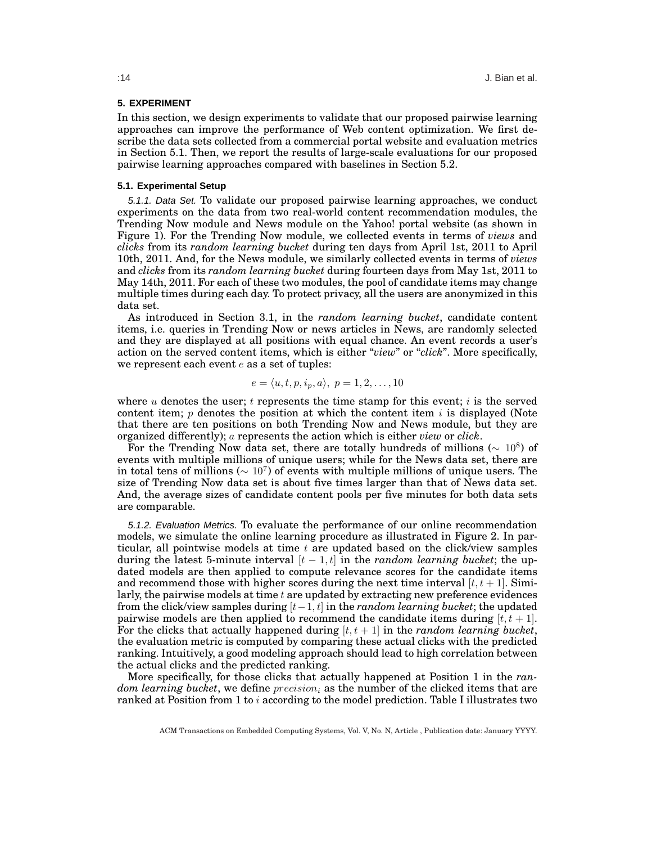### **5. EXPERIMENT**

In this section, we design experiments to validate that our proposed pairwise learning approaches can improve the performance of Web content optimization. We first describe the data sets collected from a commercial portal website and evaluation metrics in Section 5.1. Then, we report the results of large-scale evaluations for our proposed pairwise learning approaches compared with baselines in Section 5.2.

## **5.1. Experimental Setup**

5.1.1. Data Set. To validate our proposed pairwise learning approaches, we conduct experiments on the data from two real-world content recommendation modules, the Trending Now module and News module on the Yahoo! portal website (as shown in Figure 1). For the Trending Now module, we collected events in terms of *views* and *clicks* from its *random learning bucket* during ten days from April 1st, 2011 to April 10th, 2011. And, for the News module, we similarly collected events in terms of *views* and *clicks* from its *random learning bucket* during fourteen days from May 1st, 2011 to May 14th, 2011. For each of these two modules, the pool of candidate items may change multiple times during each day. To protect privacy, all the users are anonymized in this data set.

As introduced in Section 3.1, in the *random learning bucket*, candidate content items, i.e. queries in Trending Now or news articles in News, are randomly selected and they are displayed at all positions with equal chance. An event records a user's action on the served content items, which is either "*view*" or "*click*". More specifically, we represent each event  $e$  as a set of tuples:

$$
e = \langle u, t, p, i_p, a \rangle, p = 1, 2, \dots, 10
$$

where u denotes the user; t represents the time stamp for this event; i is the served content item;  $p$  denotes the position at which the content item i is displayed (Note that there are ten positions on both Trending Now and News module, but they are organized differently); a represents the action which is either *view* or *click*.

For the Trending Now data set, there are totally hundreds of millions ( $\sim 10^8$ ) of events with multiple millions of unique users; while for the News data set, there are in total tens of millions ( $\sim 10^7$ ) of events with multiple millions of unique users. The size of Trending Now data set is about five times larger than that of News data set. And, the average sizes of candidate content pools per five minutes for both data sets are comparable.

5.1.2. Evaluation Metrics. To evaluate the performance of our online recommendation models, we simulate the online learning procedure as illustrated in Figure 2. In particular, all pointwise models at time  $t$  are updated based on the click/view samples during the latest 5-minute interval  $[t - 1, t]$  in the *random learning bucket*; the updated models are then applied to compute relevance scores for the candidate items and recommend those with higher scores during the next time interval  $[t, t + 1]$ . Similarly, the pairwise models at time  $t$  are updated by extracting new preference evidences from the click/view samples during  $[t-1, t]$  in the *random learning bucket*; the updated pairwise models are then applied to recommend the candidate items during  $[t, t + 1]$ . For the clicks that actually happened during  $[t, t + 1]$  in the *random learning bucket*, the evaluation metric is computed by comparing these actual clicks with the predicted ranking. Intuitively, a good modeling approach should lead to high correlation between the actual clicks and the predicted ranking.

More specifically, for those clicks that actually happened at Position 1 in the *random learning bucket*, we define *precision*<sub>i</sub> as the number of the clicked items that are ranked at Position from 1 to i according to the model prediction. Table I illustrates two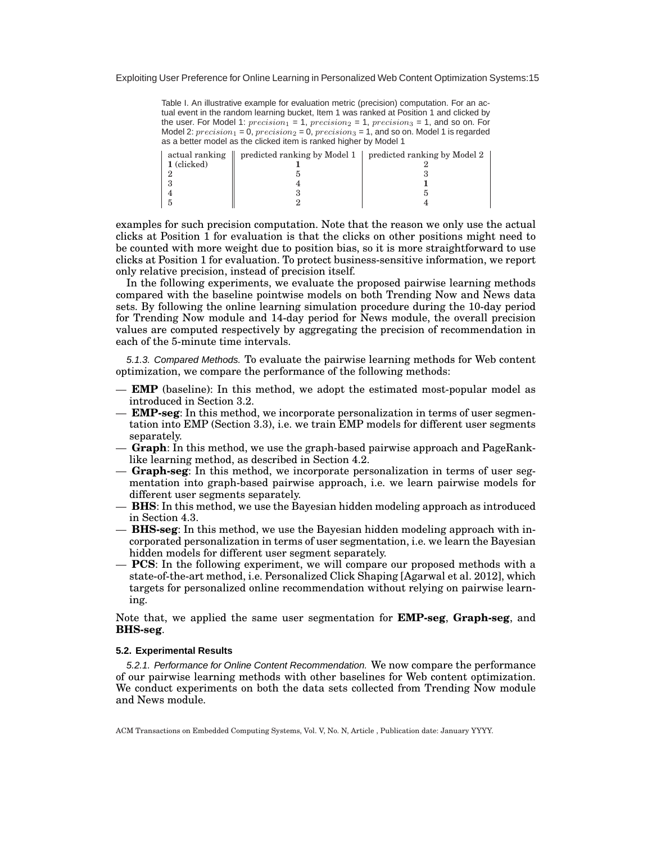Table I. An illustrative example for evaluation metric (precision) computation. For an actual event in the random learning bucket, Item 1 was ranked at Position 1 and clicked by the user. For Model 1:  $precision_1 = 1$ ,  $precision_2 = 1$ ,  $precision_3 = 1$ , and so on. For Model 2:  $precision_1 = 0$ ,  $precision_2 = 0$ ,  $precision_3 = 1$ , and so on. Model 1 is regarded as a better model as the clicked item is ranked higher by Model 1

|             | actual ranking $\parallel$ predicted ranking by Model 1 $\parallel$ predicted ranking by Model 2 |  |
|-------------|--------------------------------------------------------------------------------------------------|--|
| 1 (clicked) |                                                                                                  |  |
|             |                                                                                                  |  |
|             |                                                                                                  |  |
|             |                                                                                                  |  |
|             |                                                                                                  |  |

examples for such precision computation. Note that the reason we only use the actual clicks at Position 1 for evaluation is that the clicks on other positions might need to be counted with more weight due to position bias, so it is more straightforward to use clicks at Position 1 for evaluation. To protect business-sensitive information, we report only relative precision, instead of precision itself.

In the following experiments, we evaluate the proposed pairwise learning methods compared with the baseline pointwise models on both Trending Now and News data sets. By following the online learning simulation procedure during the 10-day period for Trending Now module and 14-day period for News module, the overall precision values are computed respectively by aggregating the precision of recommendation in each of the 5-minute time intervals.

5.1.3. Compared Methods. To evaluate the pairwise learning methods for Web content optimization, we compare the performance of the following methods:

- **EMP** (baseline): In this method, we adopt the estimated most-popular model as introduced in Section 3.2.
- **EMP-seg**: In this method, we incorporate personalization in terms of user segmentation into EMP (Section 3.3), i.e. we train EMP models for different user segments separately.
- **Graph**: In this method, we use the graph-based pairwise approach and PageRanklike learning method, as described in Section 4.2.
- **Graph-seg**: In this method, we incorporate personalization in terms of user segmentation into graph-based pairwise approach, i.e. we learn pairwise models for different user segments separately.
- **BHS**: In this method, we use the Bayesian hidden modeling approach as introduced in Section 4.3.
- **BHS-seg**: In this method, we use the Bayesian hidden modeling approach with incorporated personalization in terms of user segmentation, i.e. we learn the Bayesian hidden models for different user segment separately.
- **PCS**: In the following experiment, we will compare our proposed methods with a state-of-the-art method, i.e. Personalized Click Shaping [Agarwal et al. 2012], which targets for personalized online recommendation without relying on pairwise learning.

Note that, we applied the same user segmentation for **EMP-seg**, **Graph-seg**, and **BHS-seg**.

## **5.2. Experimental Results**

5.2.1. Performance for Online Content Recommendation. We now compare the performance of our pairwise learning methods with other baselines for Web content optimization. We conduct experiments on both the data sets collected from Trending Now module and News module.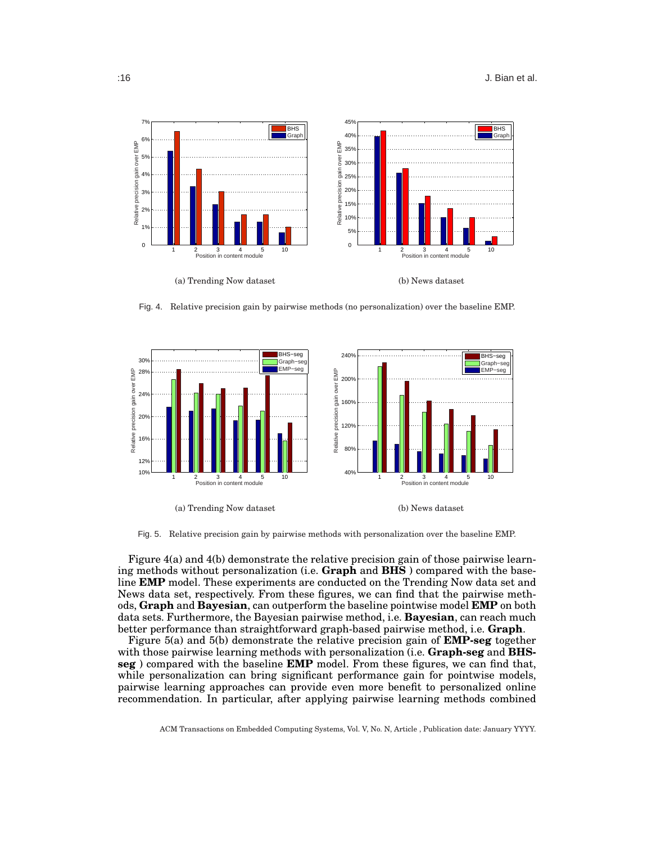

Fig. 4. Relative precision gain by pairwise methods (no personalization) over the baseline EMP.



Fig. 5. Relative precision gain by pairwise methods with personalization over the baseline EMP.

Figure 4(a) and 4(b) demonstrate the relative precision gain of those pairwise learning methods without personalization (i.e. **Graph** and **BHS** ) compared with the baseline **EMP** model. These experiments are conducted on the Trending Now data set and News data set, respectively. From these figures, we can find that the pairwise methods, **Graph** and **Bayesian**, can outperform the baseline pointwise model **EMP** on both data sets. Furthermore, the Bayesian pairwise method, i.e. **Bayesian**, can reach much better performance than straightforward graph-based pairwise method, i.e. **Graph**.

Figure 5(a) and 5(b) demonstrate the relative precision gain of **EMP-seg** together with those pairwise learning methods with personalization (i.e. **Graph-seg** and **BHSseg** ) compared with the baseline **EMP** model. From these figures, we can find that, while personalization can bring significant performance gain for pointwise models, pairwise learning approaches can provide even more benefit to personalized online recommendation. In particular, after applying pairwise learning methods combined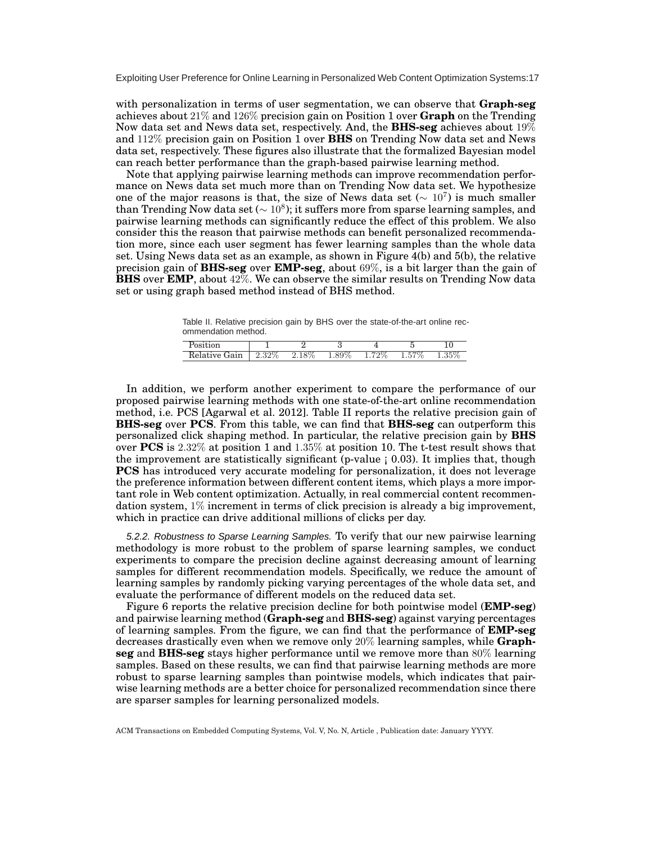with personalization in terms of user segmentation, we can observe that **Graph-seg** achieves about 21% and 126% precision gain on Position 1 over **Graph** on the Trending Now data set and News data set, respectively. And, the **BHS-seg** achieves about 19% and 112% precision gain on Position 1 over **BHS** on Trending Now data set and News data set, respectively. These figures also illustrate that the formalized Bayesian model can reach better performance than the graph-based pairwise learning method.

Note that applying pairwise learning methods can improve recommendation performance on News data set much more than on Trending Now data set. We hypothesize one of the major reasons is that, the size of News data set ( $\sim 10^7$ ) is much smaller than Trending Now data set ( $\sim 10^8$ ); it suffers more from sparse learning samples, and pairwise learning methods can significantly reduce the effect of this problem. We also consider this the reason that pairwise methods can benefit personalized recommendation more, since each user segment has fewer learning samples than the whole data set. Using News data set as an example, as shown in Figure 4(b) and 5(b), the relative precision gain of **BHS-seg** over **EMP-seg**, about 69%, is a bit larger than the gain of **BHS** over **EMP**, about 42%. We can observe the similar results on Trending Now data set or using graph based method instead of BHS method.

Table II. Relative precision gain by BHS over the state-of-the-art online recommendation method.

| ain | 70<br>2.04 | ᅩ |  |  |
|-----|------------|---|--|--|

In addition, we perform another experiment to compare the performance of our proposed pairwise learning methods with one state-of-the-art online recommendation method, i.e. PCS [Agarwal et al. 2012]. Table II reports the relative precision gain of **BHS-seg** over **PCS**. From this table, we can find that **BHS-seg** can outperform this personalized click shaping method. In particular, the relative precision gain by **BHS** over **PCS** is 2.32% at position 1 and 1.35% at position 10. The t-test result shows that the improvement are statistically significant (p-value ¡ 0.03). It implies that, though **PCS** has introduced very accurate modeling for personalization, it does not leverage the preference information between different content items, which plays a more important role in Web content optimization. Actually, in real commercial content recommendation system,  $1\%$  increment in terms of click precision is already a big improvement, which in practice can drive additional millions of clicks per day.

5.2.2. Robustness to Sparse Learning Samples. To verify that our new pairwise learning methodology is more robust to the problem of sparse learning samples, we conduct experiments to compare the precision decline against decreasing amount of learning samples for different recommendation models. Specifically, we reduce the amount of learning samples by randomly picking varying percentages of the whole data set, and evaluate the performance of different models on the reduced data set.

Figure 6 reports the relative precision decline for both pointwise model (**EMP-seg**) and pairwise learning method (**Graph-seg** and **BHS-seg**) against varying percentages of learning samples. From the figure, we can find that the performance of **EMP-seg** decreases drastically even when we remove only 20% learning samples, while **Graphseg** and **BHS-seg** stays higher performance until we remove more than 80% learning samples. Based on these results, we can find that pairwise learning methods are more robust to sparse learning samples than pointwise models, which indicates that pairwise learning methods are a better choice for personalized recommendation since there are sparser samples for learning personalized models.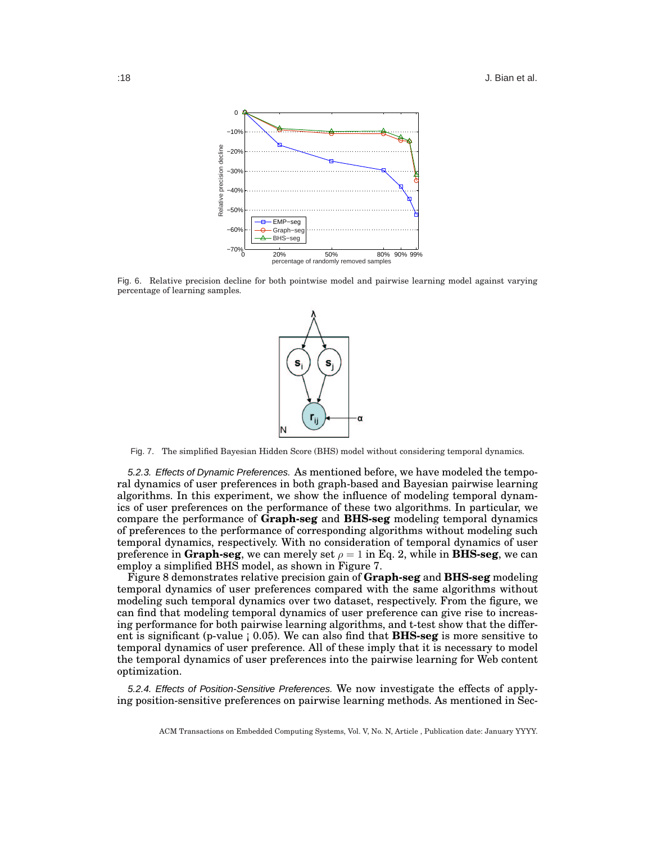

Fig. 6. Relative precision decline for both pointwise model and pairwise learning model against varying percentage of learning samples.



Fig. 7. The simplified Bayesian Hidden Score (BHS) model without considering temporal dynamics.

5.2.3. Effects of Dynamic Preferences. As mentioned before, we have modeled the temporal dynamics of user preferences in both graph-based and Bayesian pairwise learning algorithms. In this experiment, we show the influence of modeling temporal dynamics of user preferences on the performance of these two algorithms. In particular, we compare the performance of **Graph-seg** and **BHS-seg** modeling temporal dynamics of preferences to the performance of corresponding algorithms without modeling such temporal dynamics, respectively. With no consideration of temporal dynamics of user preference in **Graph-seg**, we can merely set  $\rho = 1$  in Eq. 2, while in **BHS-seg**, we can employ a simplified BHS model, as shown in Figure 7.

Figure 8 demonstrates relative precision gain of **Graph-seg** and **BHS-seg** modeling temporal dynamics of user preferences compared with the same algorithms without modeling such temporal dynamics over two dataset, respectively. From the figure, we can find that modeling temporal dynamics of user preference can give rise to increasing performance for both pairwise learning algorithms, and t-test show that the different is significant (p-value ¡ 0.05). We can also find that **BHS-seg** is more sensitive to temporal dynamics of user preference. All of these imply that it is necessary to model the temporal dynamics of user preferences into the pairwise learning for Web content optimization.

5.2.4. Effects of Position-Sensitive Preferences. We now investigate the effects of applying position-sensitive preferences on pairwise learning methods. As mentioned in Sec-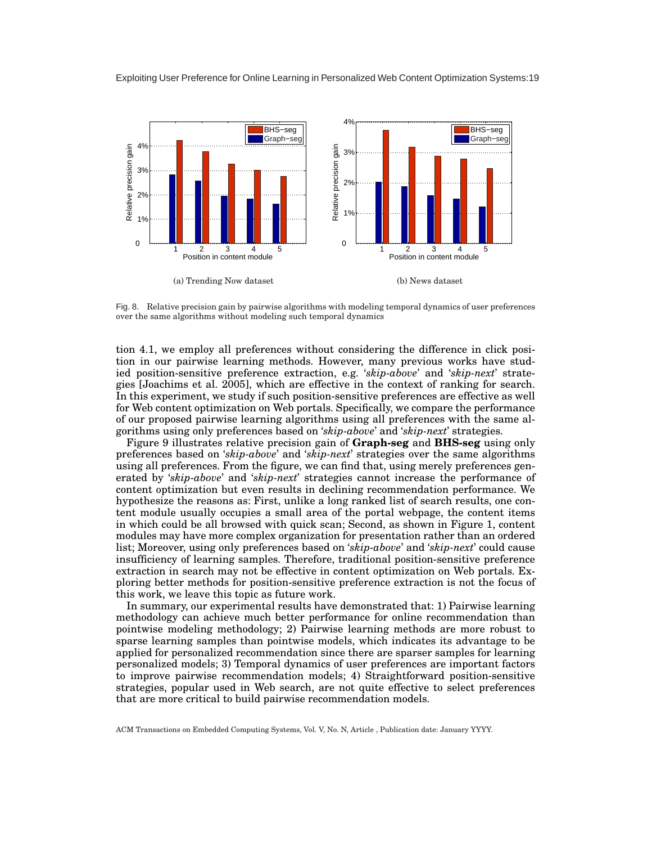

Fig. 8. Relative precision gain by pairwise algorithms with modeling temporal dynamics of user preferences over the same algorithms without modeling such temporal dynamics

tion 4.1, we employ all preferences without considering the difference in click position in our pairwise learning methods. However, many previous works have studied position-sensitive preference extraction, e.g. '*skip-above*' and '*skip-next*' strategies [Joachims et al. 2005], which are effective in the context of ranking for search. In this experiment, we study if such position-sensitive preferences are effective as well for Web content optimization on Web portals. Specifically, we compare the performance of our proposed pairwise learning algorithms using all preferences with the same algorithms using only preferences based on '*skip-above*' and '*skip-next*' strategies.

Figure 9 illustrates relative precision gain of **Graph-seg** and **BHS-seg** using only preferences based on '*skip-above*' and '*skip-next*' strategies over the same algorithms using all preferences. From the figure, we can find that, using merely preferences generated by '*skip-above*' and '*skip-next*' strategies cannot increase the performance of content optimization but even results in declining recommendation performance. We hypothesize the reasons as: First, unlike a long ranked list of search results, one content module usually occupies a small area of the portal webpage, the content items in which could be all browsed with quick scan; Second, as shown in Figure 1, content modules may have more complex organization for presentation rather than an ordered list; Moreover, using only preferences based on '*skip-above*' and '*skip-next*' could cause insufficiency of learning samples. Therefore, traditional position-sensitive preference extraction in search may not be effective in content optimization on Web portals. Exploring better methods for position-sensitive preference extraction is not the focus of this work, we leave this topic as future work.

In summary, our experimental results have demonstrated that: 1) Pairwise learning methodology can achieve much better performance for online recommendation than pointwise modeling methodology; 2) Pairwise learning methods are more robust to sparse learning samples than pointwise models, which indicates its advantage to be applied for personalized recommendation since there are sparser samples for learning personalized models; 3) Temporal dynamics of user preferences are important factors to improve pairwise recommendation models; 4) Straightforward position-sensitive strategies, popular used in Web search, are not quite effective to select preferences that are more critical to build pairwise recommendation models.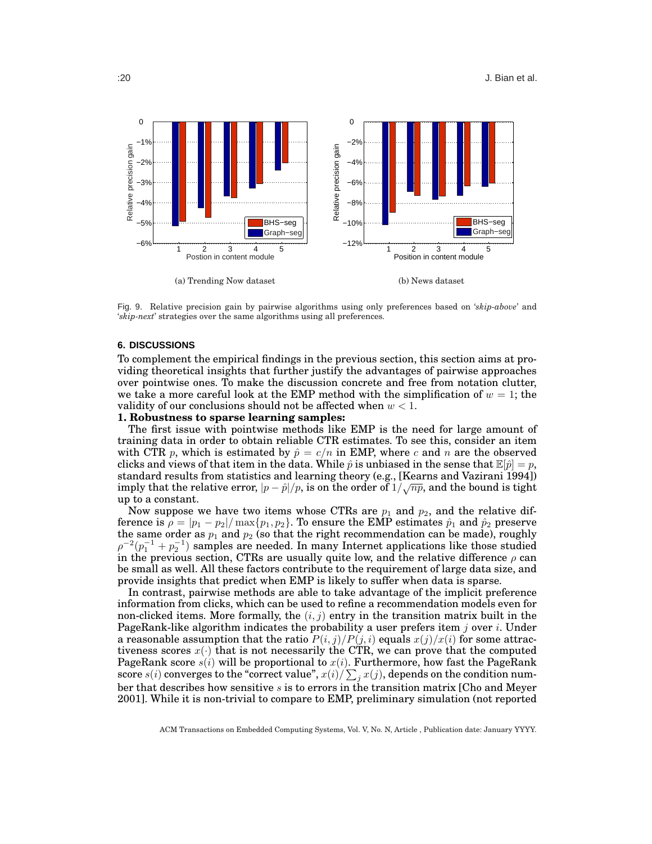

Fig. 9. Relative precision gain by pairwise algorithms using only preferences based on '*skip-above*' and '*skip-next*' strategies over the same algorithms using all preferences.

### **6. DISCUSSIONS**

To complement the empirical findings in the previous section, this section aims at providing theoretical insights that further justify the advantages of pairwise approaches over pointwise ones. To make the discussion concrete and free from notation clutter, we take a more careful look at the EMP method with the simplification of  $w = 1$ ; the validity of our conclusions should not be affected when  $w < 1$ .

### **1. Robustness to sparse learning samples:**

The first issue with pointwise methods like EMP is the need for large amount of training data in order to obtain reliable CTR estimates. To see this, consider an item with CTR p, which is estimated by  $\hat{p} = c/n$  in EMP, where c and n are the observed clicks and views of that item in the data. While  $\hat{p}$  is unbiased in the sense that  $\mathbb{E}[\hat{p}] = p$ , standard results from statistics and learning theory (e.g., [Kearns and Vazirani 1994]) imply that the relative error,  $|p - \hat{p}|/p$ , is on the order of  $1/\sqrt{np}$ , and the bound is tight up to a constant.

Now suppose we have two items whose CTRs are  $p_1$  and  $p_2$ , and the relative difference is  $\rho = |p_1 - p_2| / \max\{p_1, p_2\}$ . To ensure the EMP estimates  $\hat{p}_1$  and  $\hat{p}_2$  preserve the same order as  $p_1$  and  $p_2$  (so that the right recommendation can be made), roughly  $\rho^{-2}(p_1^{-1}+p_2^{-1})$  samples are needed. In many Internet applications like those studied in the previous section, CTRs are usually quite low, and the relative difference  $\rho$  can be small as well. All these factors contribute to the requirement of large data size, and provide insights that predict when EMP is likely to suffer when data is sparse.

In contrast, pairwise methods are able to take advantage of the implicit preference information from clicks, which can be used to refine a recommendation models even for non-clicked items. More formally, the  $(i, j)$  entry in the transition matrix built in the PageRank-like algorithm indicates the probability a user prefers item  $j$  over  $i$ . Under a reasonable assumption that the ratio  $P(i, j)/P(j, i)$  equals  $x(j)/x(i)$  for some attractiveness scores  $x(\cdot)$  that is not necessarily the CTR, we can prove that the computed PageRank score  $s(i)$  will be proportional to  $x(i)$ . Furthermore, how fast the PageRank score  $s(i)$  converges to the "correct value",  $x(i)/\sum_j x(j),$  depends on the condition number that describes how sensitive  $s$  is to errors in the transition matrix [Cho and Meyer 2001]. While it is non-trivial to compare to EMP, preliminary simulation (not reported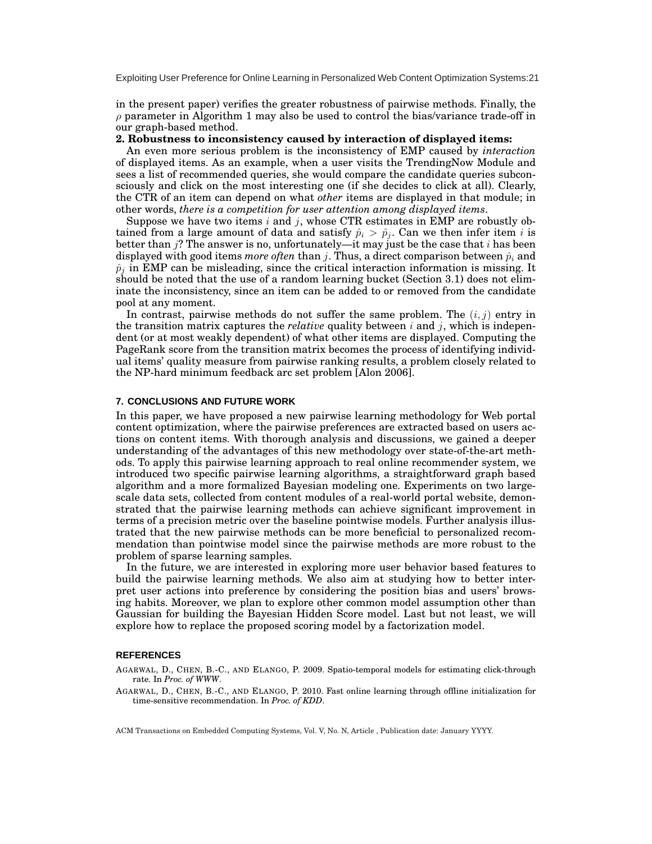in the present paper) verifies the greater robustness of pairwise methods. Finally, the  $\rho$  parameter in Algorithm 1 may also be used to control the bias/variance trade-off in our graph-based method.

## **2. Robustness to inconsistency caused by interaction of displayed items:**

An even more serious problem is the inconsistency of EMP caused by *interaction* of displayed items. As an example, when a user visits the TrendingNow Module and sees a list of recommended queries, she would compare the candidate queries subconsciously and click on the most interesting one (if she decides to click at all). Clearly, the CTR of an item can depend on what *other* items are displayed in that module; in other words, *there is a competition for user attention among displayed items*.

Suppose we have two items i and j, whose CTR estimates in EMP are robustly obtained from a large amount of data and satisfy  $\hat{p}_i > \hat{p}_j$ . Can we then infer item *i* is better than  $i$ ? The answer is no, unfortunately—it may just be the case that i has been displayed with good items *more often* than j. Thus, a direct comparison between  $\hat{p}_i$  and  $\hat{p}_i$  in EMP can be misleading, since the critical interaction information is missing. It should be noted that the use of a random learning bucket (Section 3.1) does not eliminate the inconsistency, since an item can be added to or removed from the candidate pool at any moment.

In contrast, pairwise methods do not suffer the same problem. The  $(i, j)$  entry in the transition matrix captures the *relative* quality between  $i$  and  $j$ , which is independent (or at most weakly dependent) of what other items are displayed. Computing the PageRank score from the transition matrix becomes the process of identifying individual items' quality measure from pairwise ranking results, a problem closely related to the NP-hard minimum feedback arc set problem [Alon 2006].

## **7. CONCLUSIONS AND FUTURE WORK**

In this paper, we have proposed a new pairwise learning methodology for Web portal content optimization, where the pairwise preferences are extracted based on users actions on content items. With thorough analysis and discussions, we gained a deeper understanding of the advantages of this new methodology over state-of-the-art methods. To apply this pairwise learning approach to real online recommender system, we introduced two specific pairwise learning algorithms, a straightforward graph based algorithm and a more formalized Bayesian modeling one. Experiments on two largescale data sets, collected from content modules of a real-world portal website, demonstrated that the pairwise learning methods can achieve significant improvement in terms of a precision metric over the baseline pointwise models. Further analysis illustrated that the new pairwise methods can be more beneficial to personalized recommendation than pointwise model since the pairwise methods are more robust to the problem of sparse learning samples.

In the future, we are interested in exploring more user behavior based features to build the pairwise learning methods. We also aim at studying how to better interpret user actions into preference by considering the position bias and users' browsing habits. Moreover, we plan to explore other common model assumption other than Gaussian for building the Bayesian Hidden Score model. Last but not least, we will explore how to replace the proposed scoring model by a factorization model.

### **REFERENCES**

AGARWAL, D., CHEN, B.-C., AND ELANGO, P. 2009. Spatio-temporal models for estimating click-through rate. In *Proc. of WWW*.

AGARWAL, D., CHEN, B.-C., AND ELANGO, P. 2010. Fast online learning through offline initialization for time-sensitive recommendation. In *Proc. of KDD*.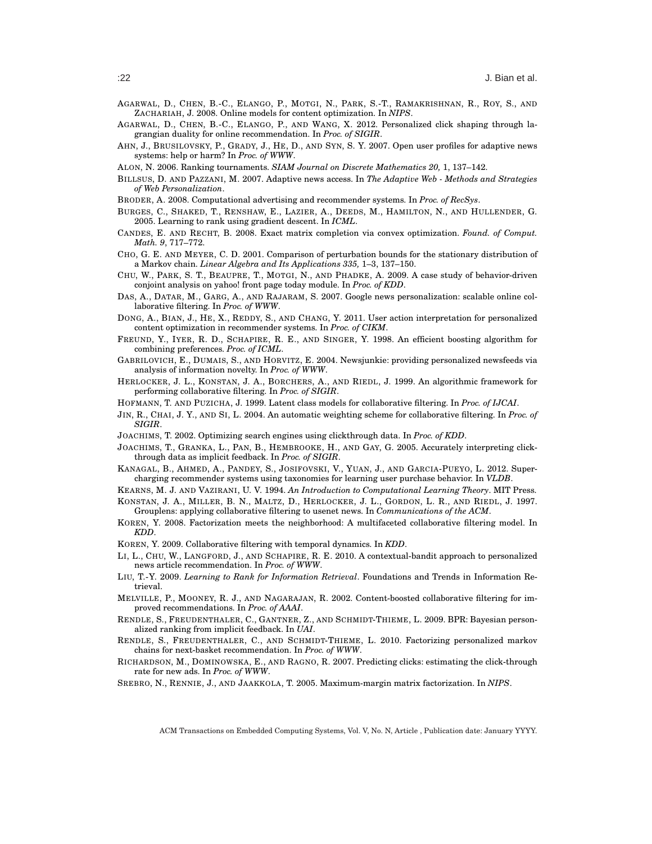- AGARWAL, D., CHEN, B.-C., ELANGO, P., MOTGI, N., PARK, S.-T., RAMAKRISHNAN, R., ROY, S., AND ZACHARIAH, J. 2008. Online models for content optimization. In *NIPS*.
- AGARWAL, D., CHEN, B.-C., ELANGO, P., AND WANG, X. 2012. Personalized click shaping through lagrangian duality for online recommendation. In *Proc. of SIGIR*.
- AHN, J., BRUSILOVSKY, P., GRADY, J., HE, D., AND SYN, S. Y. 2007. Open user profiles for adaptive news systems: help or harm? In *Proc. of WWW*.
- ALON, N. 2006. Ranking tournaments. *SIAM Journal on Discrete Mathematics 20,* 1, 137–142.
- BILLSUS, D. AND PAZZANI, M. 2007. Adaptive news access. In *The Adaptive Web Methods and Strategies of Web Personalization*.
- BRODER, A. 2008. Computational advertising and recommender systems. In *Proc. of RecSys*.
- BURGES, C., SHAKED, T., RENSHAW, E., LAZIER, A., DEEDS, M., HAMILTON, N., AND HULLENDER, G. 2005. Learning to rank using gradient descent. In *ICML*.
- CANDES, E. AND RECHT, B. 2008. Exact matrix completion via convex optimization. *Found. of Comput. Math. 9*, 717–772.
- CHO, G. E. AND MEYER, C. D. 2001. Comparison of perturbation bounds for the stationary distribution of a Markov chain. *Linear Algebra and Its Applications 335,* 1–3, 137–150.
- CHU, W., PARK, S. T., BEAUPRE, T., MOTGI, N., AND PHADKE, A. 2009. A case study of behavior-driven conjoint analysis on yahoo! front page today module. In *Proc. of KDD*.
- DAS, A., DATAR, M., GARG, A., AND RAJARAM, S. 2007. Google news personalization: scalable online collaborative filtering. In *Proc. of WWW*.
- DONG, A., BIAN, J., HE, X., REDDY, S., AND CHANG, Y. 2011. User action interpretation for personalized content optimization in recommender systems. In *Proc. of CIKM*.
- FREUND, Y., IYER, R. D., SCHAPIRE, R. E., AND SINGER, Y. 1998. An efficient boosting algorithm for combining preferences. *Proc. of ICML*.
- GABRILOVICH, E., DUMAIS, S., AND HORVITZ, E. 2004. Newsjunkie: providing personalized newsfeeds via analysis of information novelty. In *Proc. of WWW*.
- HERLOCKER, J. L., KONSTAN, J. A., BORCHERS, A., AND RIEDL, J. 1999. An algorithmic framework for performing collaborative filtering. In *Proc. of SIGIR*.
- HOFMANN, T. AND PUZICHA, J. 1999. Latent class models for collaborative filtering. In *Proc. of IJCAI*.
- JIN, R., CHAI, J. Y., AND SI, L. 2004. An automatic weighting scheme for collaborative filtering. In *Proc. of SIGIR*.
- JOACHIMS, T. 2002. Optimizing search engines using clickthrough data. In *Proc. of KDD*.
- JOACHIMS, T., GRANKA, L., PAN, B., HEMBROOKE, H., AND GAY, G. 2005. Accurately interpreting clickthrough data as implicit feedback. In *Proc. of SIGIR*.
- KANAGAL, B., AHMED, A., PANDEY, S., JOSIFOVSKI, V., YUAN, J., AND GARCIA-PUEYO, L. 2012. Supercharging recommender systems using taxonomies for learning user purchase behavior. In *VLDB*.
- KEARNS, M. J. AND VAZIRANI, U. V. 1994. *An Introduction to Computational Learning Theory*. MIT Press.
- KONSTAN, J. A., MILLER, B. N., MALTZ, D., HERLOCKER, J. L., GORDON, L. R., AND RIEDL, J. 1997. Grouplens: applying collaborative filtering to usenet news. In *Communications of the ACM*.
- KOREN, Y. 2008. Factorization meets the neighborhood: A multifaceted collaborative filtering model. In *KDD*.
- KOREN, Y. 2009. Collaborative filtering with temporal dynamics. In *KDD*.
- LI, L., CHU, W., LANGFORD, J., AND SCHAPIRE, R. E. 2010. A contextual-bandit approach to personalized news article recommendation. In *Proc. of WWW*.
- LIU, T.-Y. 2009. *Learning to Rank for Information Retrieval*. Foundations and Trends in Information Retrieval.
- MELVILLE, P., MOONEY, R. J., AND NAGARAJAN, R. 2002. Content-boosted collaborative filtering for improved recommendations. In *Proc. of AAAI*.
- RENDLE, S., FREUDENTHALER, C., GANTNER, Z., AND SCHMIDT-THIEME, L. 2009. BPR: Bayesian personalized ranking from implicit feedback. In *UAI*.
- RENDLE, S., FREUDENTHALER, C., AND SCHMIDT-THIEME, L. 2010. Factorizing personalized markov chains for next-basket recommendation. In *Proc. of WWW*.
- RICHARDSON, M., DOMINOWSKA, E., AND RAGNO, R. 2007. Predicting clicks: estimating the click-through rate for new ads. In *Proc. of WWW*.
- SREBRO, N., RENNIE, J., AND JAAKKOLA, T. 2005. Maximum-margin matrix factorization. In *NIPS*.